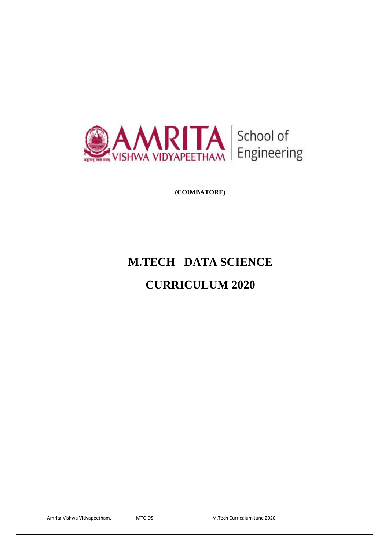

**(COIMBATORE)**

# **M.TECH DATA SCIENCE**

# **CURRICULUM 2020**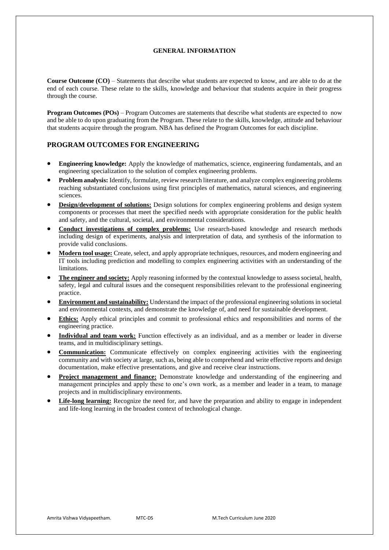#### **GENERAL INFORMATION**

**Course Outcome (CO)** – Statements that describe what students are expected to know, and are able to do at the end of each course. These relate to the skills, knowledge and behaviour that students acquire in their progress through the course.

**Program Outcomes (POs)** – Program Outcomes are statements that describe what students are expected to now and be able to do upon graduating from the Program. These relate to the skills, knowledge, attitude and behaviour that students acquire through the program. NBA has defined the Program Outcomes for each discipline.

#### **PROGRAM OUTCOMES FOR ENGINEERING**

- **Engineering knowledge:** Apply the knowledge of mathematics, science, engineering fundamentals, and an engineering specialization to the solution of complex engineering problems.
- **Problem analysis:** Identify, formulate, review research literature, and analyze complex engineering problems reaching substantiated conclusions using first principles of mathematics, natural sciences, and engineering sciences.
- **Design/development of solutions:** Design solutions for complex engineering problems and design system components or processes that meet the specified needs with appropriate consideration for the public health and safety, and the cultural, societal, and environmental considerations.
- **Conduct investigations of complex problems:** Use research-based knowledge and research methods including design of experiments, analysis and interpretation of data, and synthesis of the information to provide valid conclusions.
- **Modern tool usage:** Create, select, and apply appropriate techniques, resources, and modern engineering and IT tools including prediction and modelling to complex engineering activities with an understanding of the limitations.
- **The engineer and society:** Apply reasoning informed by the contextual knowledge to assess societal, health, safety, legal and cultural issues and the consequent responsibilities relevant to the professional engineering practice.
- **Environment and sustainability:** Understand the impact of the professional engineering solutions in societal and environmental contexts, and demonstrate the knowledge of, and need for sustainable development.
- **Ethics:** Apply ethical principles and commit to professional ethics and responsibilities and norms of the engineering practice.
- **Individual and team work:** Function effectively as an individual, and as a member or leader in diverse teams, and in multidisciplinary settings.
- **Communication:** Communicate effectively on complex engineering activities with the engineering community and with society at large, such as, being able to comprehend and write effective reports and design documentation, make effective presentations, and give and receive clear instructions.
- **Project management and finance:** Demonstrate knowledge and understanding of the engineering and management principles and apply these to one's own work, as a member and leader in a team, to manage projects and in multidisciplinary environments.
- Life-long learning: Recognize the need for, and have the preparation and ability to engage in independent and life-long learning in the broadest context of technological change.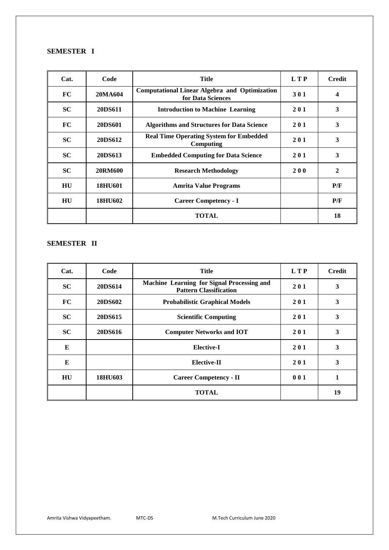#### **SEMESTER I**

| Cat.      | Code           | <b>Title</b>                                                              | <b>LTP</b> | <b>Credit</b>    |
|-----------|----------------|---------------------------------------------------------------------------|------------|------------------|
| FC.       | 20MA604        | <b>Computational Linear Algebra and Optimization</b><br>for Data Sciences | 301        | $\boldsymbol{4}$ |
| <b>SC</b> | 20DS611        | Introduction to Machine Learning                                          | 201        | 3                |
| <b>FC</b> | 20DS601        | <b>Algorithms and Structures for Data Science</b>                         | 201        | 3                |
| <b>SC</b> | <b>20DS612</b> | <b>Real Time Operating System for Embedded</b><br>Computing               | 201        | 3                |
| <b>SC</b> | 20DS613        | <b>Embedded Computing for Data Science</b>                                | 201        | 3                |
| <b>SC</b> | 20RM600        | <b>Research Methodology</b>                                               | <b>200</b> | $\mathbf{2}$     |
| HU        | <b>18HU601</b> | <b>Amrita Value Programs</b>                                              |            | P/F              |
| HU        | <b>18HU602</b> | <b>Career Competency - I</b>                                              |            | P/F              |
|           |                | <b>TOTAL</b>                                                              |            | 18               |

# **SEMESTER II**

| Cat.      | Code           | <b>Title</b>                                                                | <b>LTP</b> | <b>Credit</b> |
|-----------|----------------|-----------------------------------------------------------------------------|------------|---------------|
| <b>SC</b> | 20DS614        | Machine Learning for Signal Processing and<br><b>Pattern Classification</b> | 201        | $\mathbf{3}$  |
| FC        | <b>20DS602</b> | <b>Probabilistic Graphical Models</b>                                       | 201        | 3             |
| <b>SC</b> | 20DS615        | <b>Scientific Computing</b>                                                 | 201        | 3             |
| <b>SC</b> | <b>20DS616</b> | <b>Computer Networks and IOT</b>                                            | 201        | 3             |
| E         |                | <b>Elective-I</b>                                                           | 201        | 3             |
| E         |                | Elective-II                                                                 | 201        | 3             |
| HU        | <b>18HU603</b> | <b>Career Competency - II</b>                                               | 001        | 1             |
|           |                | <b>TOTAL</b>                                                                |            | 19            |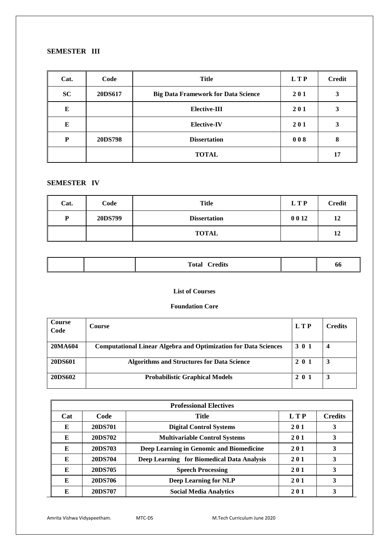## **SEMESTER III**

| Cat.      | Code           | <b>Title</b>                               | <b>LTP</b> | <b>Credit</b> |
|-----------|----------------|--------------------------------------------|------------|---------------|
| <b>SC</b> | 20DS617        | <b>Big Data Framework for Data Science</b> | 201        | 3             |
| E         |                | <b>Elective-III</b>                        | 201        | 3             |
| E         |                | <b>Elective-IV</b>                         | 201        | 3             |
| P         | <b>20DS798</b> | <b>Dissertation</b>                        | 008        | 8             |
|           |                | <b>TOTAL</b>                               |            | 17            |

# **SEMESTER IV**

| Cat. | Code    | <b>Title</b>        | L T P | <b>Credit</b> |
|------|---------|---------------------|-------|---------------|
| D    | 20DS799 | <b>Dissertation</b> | 0012  | 12            |
|      |         | <b>TOTAL</b>        |       | 12            |

|  | .<br><b>Total</b><br>'modita |  | - 00 |
|--|------------------------------|--|------|
|--|------------------------------|--|------|

## **List of Courses**

#### **Foundation Core**

| Course<br>Code | Course                                                                 | <b>LTP</b> | <b>Credits</b> |
|----------------|------------------------------------------------------------------------|------------|----------------|
| 20MA604        | <b>Computational Linear Algebra and Optimization for Data Sciences</b> | 3 0 1      | 4              |
| 20DS601        | <b>Algorithms and Structures for Data Science</b>                      | 201        | 3              |
| <b>20DS602</b> | <b>Probabilistic Graphical Models</b>                                  | 201        | 3              |

|     | <b>Professional Electives</b> |                                            |            |                |  |  |
|-----|-------------------------------|--------------------------------------------|------------|----------------|--|--|
| Cat | Code                          | <b>Title</b>                               | <b>LTP</b> | <b>Credits</b> |  |  |
| E   | 20DS701                       | <b>Digital Control Systems</b>             | 201        | 3              |  |  |
| E   | 20DS702                       | <b>Multivariable Control Systems</b>       | 201        | 3              |  |  |
| E   | 20DS703                       | Deep Learning in Genomic and Biomedicine   | 201        | 3              |  |  |
| E   | 20DS704                       | Deep Learning for Biomedical Data Analysis | 201        | 3              |  |  |
| E   | 20DS705                       | <b>Speech Processing</b>                   | 201        | 3              |  |  |
| E   | <b>20DS706</b>                | <b>Deep Learning for NLP</b>               | 201        | 3              |  |  |
| E   | 20DS707                       | <b>Social Media Analytics</b>              | 201        | 3              |  |  |

Amrita Vishwa Vidyapeetham. MTC-DS METER M.Tech Curriculum June 2020